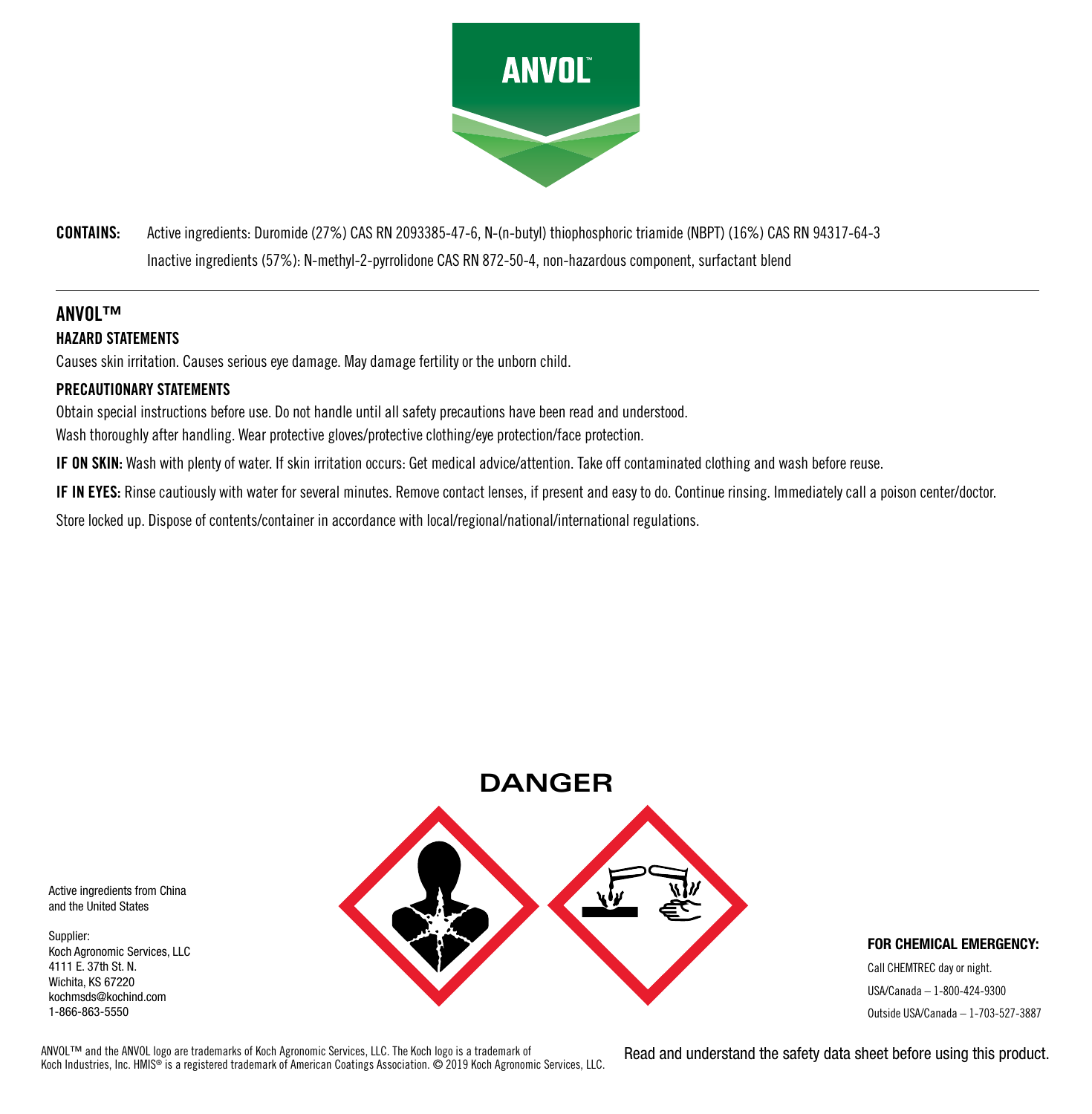

**CONTAINS:** Active ingredients: Duromide (27%) CAS RN 2093385-47-6, N-(n-butyl) thiophosphoric triamide (NBPT) (16%) CAS RN 94317-64-3 Inactive ingredients (57%): N-methyl-2-pyrrolidone CAS RN 872-50-4, non-hazardous component, surfactant blend

# **ANVOL™ HAZARD STATEMENTS**

Causes skin irritation. Causes serious eye damage. May damage fertility or the unborn child.

# **PRECAUTIONARY STATEMENTS**

Obtain special instructions before use. Do not handle until all safety precautions have been read and understood. Wash thoroughly after handling. Wear protective gloves/protective clothing/eye protection/face protection.

**IF ON SKIN:** Wash with plenty of water. If skin irritation occurs: Get medical advice/attention. Take off contaminated clothing and wash before reuse.

**IF IN EYES:** Rinse cautiously with water for several minutes. Remove contact lenses, if present and easy to do. Continue rinsing. Immediately call a poison center/doctor.

Store locked up. Dispose of contents/container in accordance with local/regional/national/international regulations.



#### **FOR CHEMICAL EMERGENCY:**

Call CHEMTREC day or night. USA/Canada – 1-800-424-9300 Outside USA/Canada – 1-703-527-3887

Active ingredients from China and the United States

Supplier: Koch Agronomic Services, LLC 4111 E. 37th St. N. Wichita, KS 67220 kochmsds@kochind.com 1-866-863-5550

ANVOL™ and the ANVOL logo are trademarks of Koch Agronomic Services, LLC. The Koch logo is a trademark of Koch Industries, Inc. HMIS® is a registered trademark of American Coatings Association. © 2019 Koch Agronomic Services, LLC. Read and understand the safety data sheet before using this product.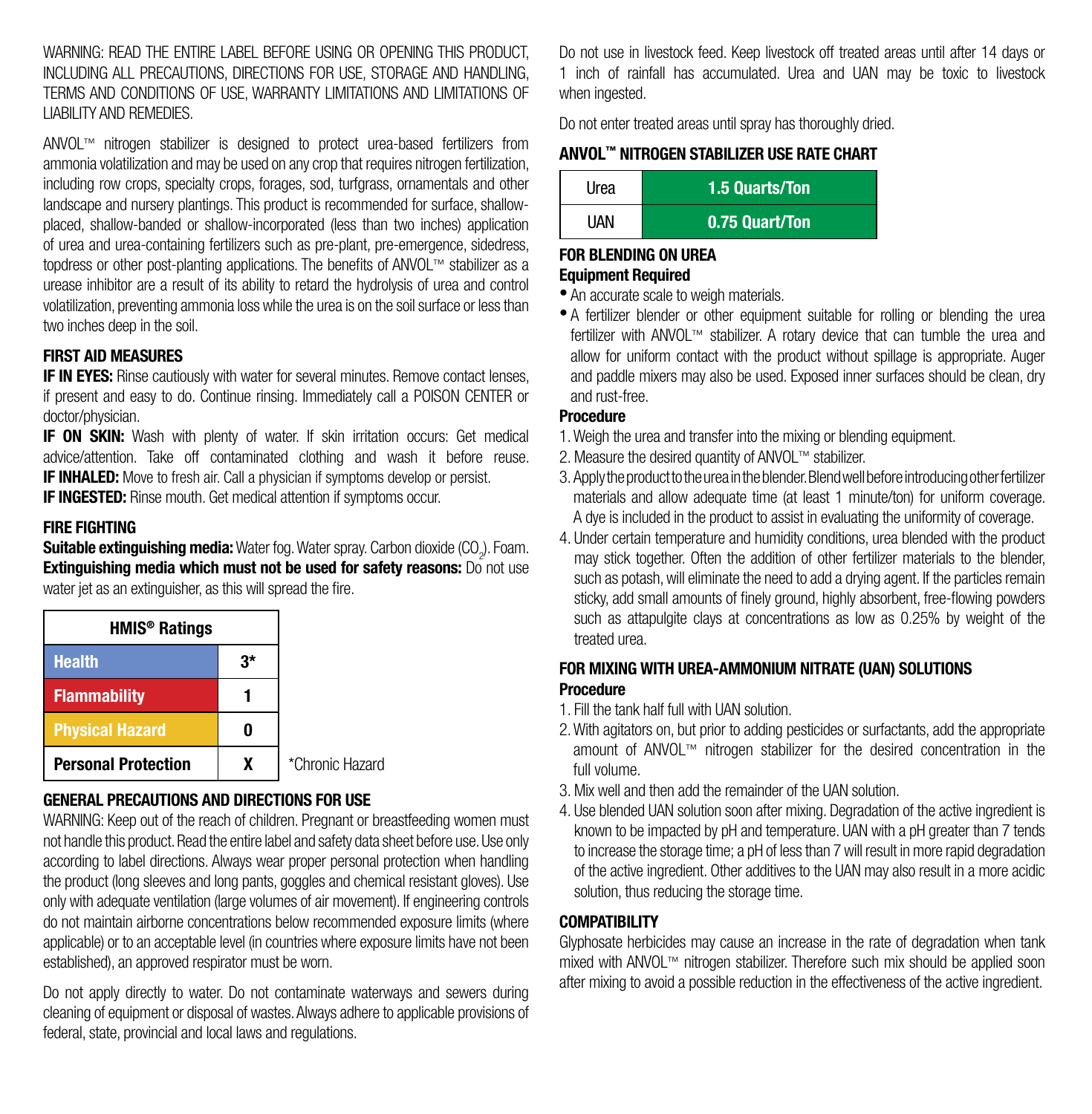WARNING: READ THE ENTIRE LABEL BEFORE LISING OR OPENING THIS PRODUCT INCLUDING ALL PRECAUTIONS, DIRECTIONS FOR USE, STORAGE AND HANDLING, TERMS AND CONDITIONS OF USE, WARRANTY LIMITATIONS AND LIMITATIONS OF LIABILITY AND REMEDIES.

ANVOL™ nitrogen stabilizer is designed to protect urea-based fertilizers from ammonia volatilization and may be used on any crop that requires nitrogen fertilization, including row crops, specialty crops, forages, sod, turfgrass, ornamentals and other landscape and nursery plantings. This product is recommended for surface, shallowplaced, shallow-banded or shallow-incorporated (less than two inches) application of urea and urea-containing fertilizers such as pre-plant, pre-emergence, sidedress, topdress or other post-planting applications. The benefits of ANVOL™ stabilizer as a urease inhibitor are a result of its ability to retard the hydrolysis of urea and control volatilization, preventing ammonia loss while the urea is on the soil surface or less than two inches deep in the soil.

# **FIRST AID MEASURES**

**IF IN EYES:** Rinse cautiously with water for several minutes. Remove contact lenses, if present and easy to do. Continue rinsing. Immediately call a POISON CENTER or doctor/physician.

**IF ON SKIN:** Wash with plenty of water. If skin irritation occurs: Get medical advice/attention. Take off contaminated clothing and wash it before reuse. **IF INHALED:** Move to fresh air. Call a physician if symptoms develop or persist. **IF INGESTED:** Rinse mouth. Get medical attention if symptoms occur.

#### **FIRE FIGHTING**

**Suitable extinguishing media:** Water fog. Water spray. Carbon dioxide (CO<sub>2</sub>). Foam. **Extinguishing media which must not be used for safety reasons:** Do not use water jet as an extinguisher, as this will spread the fire.

| <b>HMIS<sup>®</sup> Ratings</b> |    |                 |
|---------------------------------|----|-----------------|
| <b>Health</b>                   | 3* |                 |
| <b>Flammability</b>             |    |                 |
| <b>Physical Hazard</b>          |    |                 |
| <b>Personal Protection</b>      |    | *Chronic Hazard |

#### **GENERAL PRECAUTIONS AND DIRECTIONS FOR USE**

WARNING: Keep out of the reach of children. Pregnant or breastfeeding women must not handle this product. Read the entire label and safety data sheet before use. Use only according to label directions. Always wear proper personal protection when handling the product (long sleeves and long pants, goggles and chemical resistant gloves). Use only with adequate ventilation (large volumes of air movement). If engineering controls do not maintain airborne concentrations below recommended exposure limits (where applicable) or to an acceptable level (in countries where exposure limits have not been established), an approved respirator must be worn.

Do not apply directly to water. Do not contaminate waterways and sewers during cleaning of equipment or disposal of wastes. Always adhere to applicable provisions of federal, state, provincial and local laws and regulations.

Do not use in livestock feed. Keep livestock off treated areas until after 14 days or 1 inch of rainfall has accumulated. Urea and UAN may be toxic to livestock when ingested.

Do not enter treated areas until spray has thoroughly dried.

# **ANVOL™ NITROGEN STABILIZER USE RATE CHART**

| Urea        | 1.5 Quarts/Ton |
|-------------|----------------|
| <b>IJAN</b> | 0.75 Quart/Ton |

#### **FOR BLENDING ON UREA Equipment Required**

- An accurate scale to weigh materials.
- A fertilizer blender or other equipment suitable for rolling or blending the urea fertilizer with ANVOL™ stabilizer. A rotary device that can tumble the urea and allow for uniform contact with the product without spillage is appropriate. Auger and paddle mixers may also be used. Exposed inner surfaces should be clean, dry and rust-free.

# **Procedure**

- 1. Weigh the urea and transfer into the mixing or blending equipment.
- 2. Measure the desired quantity of ANVOL™ stabilizer.
- 3. Apply the product to the urea in the blender. Blend well before introducing other fertilizer materials and allow adequate time (at least 1 minute/ton) for uniform coverage. A dye is included in the product to assist in evaluating the uniformity of coverage.
- 4. Under certain temperature and humidity conditions, urea blended with the product may stick together. Often the addition of other fertilizer materials to the blender, such as potash, will eliminate the need to add a drying agent. If the particles remain sticky, add small amounts of finely ground, highly absorbent, free-flowing powders such as attapulgite clays at concentrations as low as 0.25% by weight of the treated urea.

## **FOR MIXING WITH UREA-AMMONIUM NITRATE (UAN) SOLUTIONS Procedure**

- 1. Fill the tank half full with UAN solution.
- 2. With agitators on, but prior to adding pesticides or surfactants, add the appropriate amount of ANVOL™ nitrogen stabilizer for the desired concentration in the full volume.
- 3. Mix well and then add the remainder of the UAN solution.
- 4. Use blended UAN solution soon after mixing. Degradation of the active ingredient is known to be impacted by pH and temperature. UAN with a pH greater than 7 tends to increase the storage time; a pH of less than 7 will result in more rapid degradation of the active ingredient. Other additives to the UAN may also result in a more acidic solution, thus reducing the storage time.

## **COMPATIBILITY**

Glyphosate herbicides may cause an increase in the rate of degradation when tank mixed with ANVOL™ nitrogen stabilizer. Therefore such mix should be applied soon after mixing to avoid a possible reduction in the effectiveness of the active ingredient.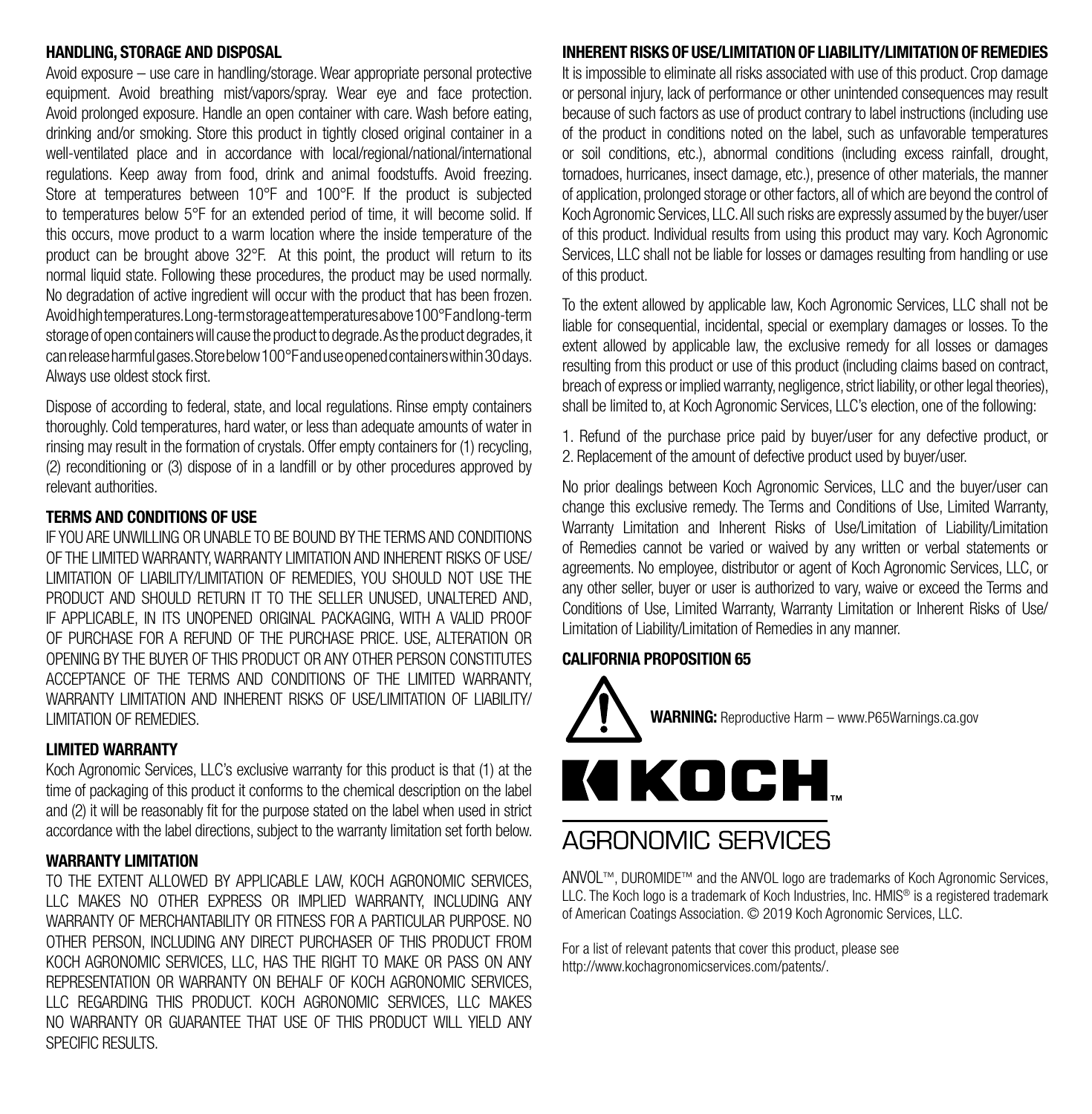#### **HANDLING, STORAGE AND DISPOSAL**

Avoid exposure – use care in handling/storage. Wear appropriate personal protective equipment. Avoid breathing mist/vapors/spray. Wear eye and face protection. Avoid prolonged exposure. Handle an open container with care. Wash before eating, drinking and/or smoking. Store this product in tightly closed original container in a well-ventilated place and in accordance with local/regional/national/international regulations. Keep away from food, drink and animal foodstuffs. Avoid freezing. Store at temperatures between 10°F and 100°F. If the product is subjected to temperatures below 5°F for an extended period of time, it will become solid. If this occurs, move product to a warm location where the inside temperature of the product can be brought above 32°F. At this point, the product will return to its normal liquid state. Following these procedures, the product may be used normally. No degradation of active ingredient will occur with the product that has been frozen. Avoid high temperatures. Long-term storage at temperatures above 100°F and long-term storage of open containers will cause the product to degrade. As the product degrades, it can release harmful gases. Store below 100°F and use opened containers within 30 days. Always use oldest stock first.

Dispose of according to federal, state, and local regulations. Rinse empty containers thoroughly. Cold temperatures, hard water, or less than adequate amounts of water in rinsing may result in the formation of crystals. Offer empty containers for (1) recycling, (2) reconditioning or (3) dispose of in a landfill or by other procedures approved by relevant authorities.

## **TERMS AND CONDITIONS OF USE**

IF YOU ARE UNWILLING OR UNABLE TO BE BOUND BY THE TERMS AND CONDITIONS OF THE LIMITED WARRANTY, WARRANTY LIMITATION AND INHERENT RISKS OF USE/ LIMITATION OF LIABILITY/LIMITATION OF REMEDIES, YOU SHOULD NOT USE THE PRODUCT AND SHOULD RETURN IT TO THE SELLER UNUSED, UNALTERED AND, IF APPLICABLE, IN ITS UNOPENED ORIGINAL PACKAGING, WITH A VALID PROOF OF PURCHASE FOR A REFUND OF THE PURCHASE PRICE. USE, ALTERATION OR OPENING BY THE BUYER OF THIS PRODUCT OR ANY OTHER PERSON CONSTITUTES ACCEPTANCE OF THE TERMS AND CONDITIONS OF THE LIMITED WARRANTY, WARRANTY LIMITATION AND INHERENT RISKS OF LISE/LIMITATION OF LIABILITY/ LIMITATION OF REMEDIES.

#### **LIMITED WARRANTY**

Koch Agronomic Services, LLC's exclusive warranty for this product is that (1) at the time of packaging of this product it conforms to the chemical description on the label and (2) it will be reasonably fit for the purpose stated on the label when used in strict accordance with the label directions, subject to the warranty limitation set forth below.

#### **WARRANTY LIMITATION**

TO THE EXTENT ALLOWED BY APPLICABLE LAW, KOCH AGRONOMIC SERVICES, LLC MAKES NO OTHER EXPRESS OR IMPLIED WARRANTY, INCLUDING ANY WARRANTY OF MERCHANTABILITY OR FITNESS FOR A PARTICULAR PURPOSE. NO OTHER PERSON, INCLUDING ANY DIRECT PURCHASER OF THIS PRODUCT FROM KOCH AGRONOMIC SERVICES, LLC, HAS THE RIGHT TO MAKE OR PASS ON ANY REPRESENTATION OR WARRANTY ON BEHALF OF KOCH AGRONOMIC SERVICES, LLC REGARDING THIS PRODUCT. KOCH AGRONOMIC SERVICES, LLC MAKES NO WARRANTY OR GUARANTEE THAT USE OF THIS PRODUCT WILL YIELD ANY SPECIFIC RESULTS.

#### **INHERENT RISKS OF USE/LIMITATION OF LIABILITY/LIMITATION OF REMEDIES**

It is impossible to eliminate all risks associated with use of this product. Crop damage or personal injury, lack of performance or other unintended consequences may result because of such factors as use of product contrary to label instructions (including use of the product in conditions noted on the label, such as unfavorable temperatures or soil conditions, etc.), abnormal conditions (including excess rainfall, drought, tornadoes, hurricanes, insect damage, etc.), presence of other materials, the manner of application, prolonged storage or other factors, all of which are beyond the control of Koch Agronomic Services, LLC. All such risks are expressly assumed by the buyer/user of this product. Individual results from using this product may vary. Koch Agronomic Services, LLC shall not be liable for losses or damages resulting from handling or use of this product.

To the extent allowed by applicable law, Koch Agronomic Services, LLC shall not be liable for consequential, incidental, special or exemplary damages or losses. To the extent allowed by applicable law, the exclusive remedy for all losses or damages resulting from this product or use of this product (including claims based on contract, breach of express or implied warranty, negligence, strict liability, or other legal theories), shall be limited to, at Koch Agronomic Services, LLC's election, one of the following:

1. Refund of the purchase price paid by buyer/user for any defective product, or 2. Replacement of the amount of defective product used by buyer/user.

No prior dealings between Koch Agronomic Services, LLC and the buyer/user can change this exclusive remedy. The Terms and Conditions of Use, Limited Warranty, Warranty Limitation and Inherent Risks of Use/Limitation of Liability/Limitation of Remedies cannot be varied or waived by any written or verbal statements or agreements. No employee, distributor or agent of Koch Agronomic Services, LLC, or any other seller, buyer or user is authorized to vary, waive or exceed the Terms and Conditions of Use, Limited Warranty, Warranty Limitation or Inherent Risks of Use/ Limitation of Liability/Limitation of Remedies in any manner.

### **CALIFORNIA PROPOSITION 65**



# AGRONOMIC SERVICES

ANVOL™, DUROMIDE™ and the ANVOL logo are trademarks of Koch Agronomic Services. LLC. The Koch logo is a trademark of Koch Industries, Inc. HMIS® is a registered trademark of American Coatings Association. © 2019 Koch Agronomic Services, LLC.

For a list of relevant patents that cover this product, please see http://www.kochagronomicservices.com/patents/.